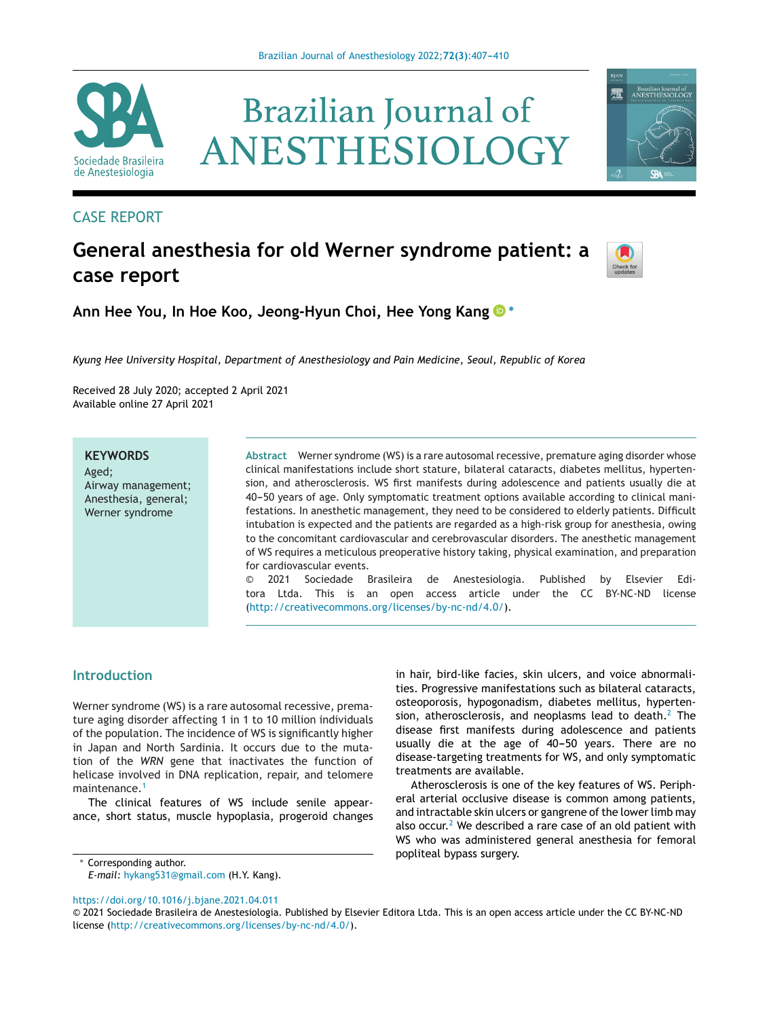**Brazilian Journal of** 

ANESTHESIOLOGY



# CASE REPORT

# **General anesthesia for old Werner syndrome patient: a case report**



矕

Brazilian Journal of<br>ANESTHESIOLOGY

**Ann Hee You, In Hoe Koo, Jeong-Hyun Choi, Hee Yong Kan[g](https://orcid.org/0000-0001-7506-1375) <sup>∗</sup>**

*Kyung Hee University Hospital, Department of Anesthesiology and Pain Medicine, Seoul, Republic of Korea*

Received 28 July 2020; accepted 2 April 2021 Available online 27 April 2021

# **KEYWORDS**

Aged; Airway management; Anesthesia, general; Werner syndrome

**Abstract** Werner syndrome (WS) is a rare autosomal recessive, premature aging disorder whose clinical manifestations include short stature, bilateral cataracts, diabetes mellitus, hypertension, and atherosclerosis. WS first manifests during adolescence and patients usually die at 40-50 years of age. Only symptomatic treatment options available according to clinical manifestations. In anesthetic management, they need to be considered to elderly patients. Difficult intubation is expected and the patients are regarded as a high-risk group for anesthesia, owing to the concomitant cardiovascular and cerebrovascular disorders. The anesthetic management of WS requires a meticulous preoperative history taking, physical examination, and preparation for cardiovascular events.

© 2021 Sociedade Brasileira de Anestesiologia. Published by Elsevier Editora Ltda. This is an open access article under the CC BY-NC-ND license [\(http://creativecommons.org/licenses/by-nc-nd/4.0/\)](http://creativecommons.org/licenses/by-nc-nd/4.0/).

#### **Introduction**

Werner syndrome (WS) is a rare autosomal recessive, premature aging disorder affecting 1 in 1 to 10 million individuals of the population. The incidence of WS is significantly higher in Japan and North Sardinia. It occurs due to the mutation of the *WRN* gene that inactivates the function of helicase involved in DNA replication, repair, and telomere maintenance.<sup>[1](#page-3-0)</sup>

The clinical features of WS include senile appearance, short status, muscle hypoplasia, progeroid changes

∗ Corresponding author.

*E-mail:* [hykang531@gmail.com](mailto:hykang531@gmail.com) (H.Y. Kang).

<https://doi.org/10.1016/j.bjane.2021.04.011>

in hair, bird-like facies, skin ulcers, and voice abnormalities. Progressive manifestations such as bilateral cataracts, osteoporosis, hypogonadism, diabetes mellitus, hypertension, atherosclerosis, and neoplasms lead to death. $2$  The disease first manifests during adolescence and patients usually die at the age of 40-50 years. There are no disease-targeting treatments for WS, and only symptomatic treatments are available.

Atherosclerosis is one of the key features of WS. Peripheral arterial occlusive disease is common among patients, and intractable skin ulcers or gangrene of the lower limb may also occur.<sup>2</sup> [W](#page-3-0)e described a rare case of an old patient with WS who was administered general anesthesia for femoral popliteal bypass surgery.

<sup>©</sup> 2021 Sociedade Brasileira de Anestesiologia. Published by Elsevier Editora Ltda. This is an open access article under the CC BY-NC-ND license (<http://creativecommons.org/licenses/by-nc-nd/4.0/>).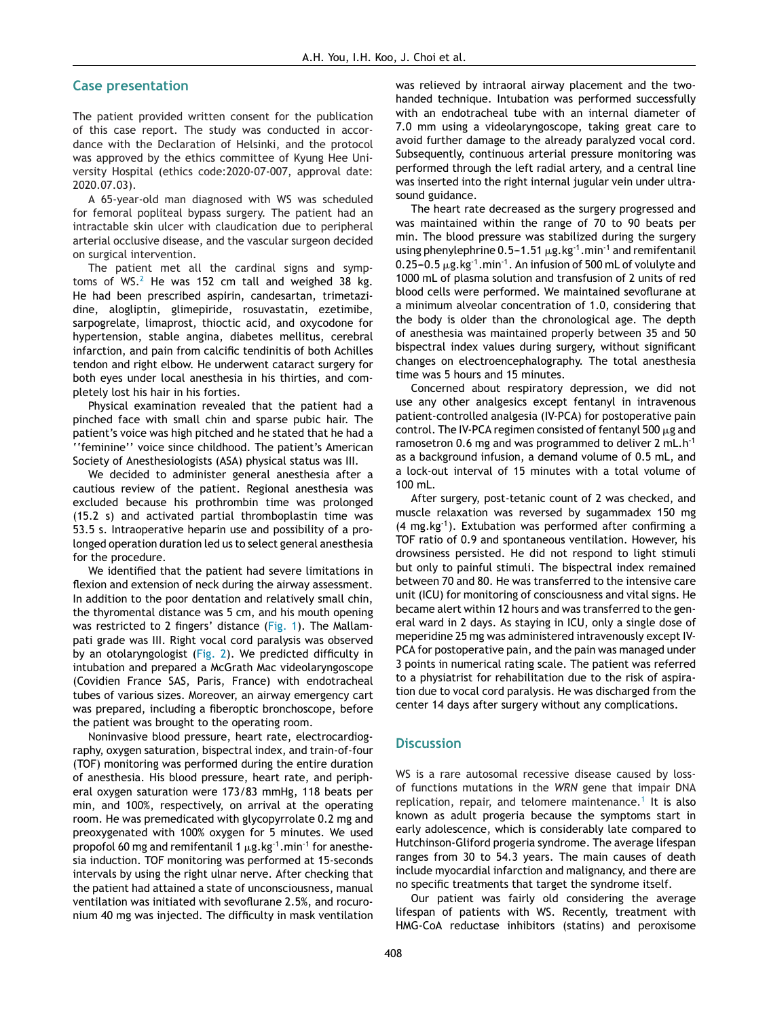#### **Case presentation**

The patient provided written consent for the publication of this case report. The study was conducted in accordance with the Declaration of Helsinki, and the protocol was approved by the ethics committee of Kyung Hee University Hospital (ethics code:2020-07-007, approval date: 2020.07.03).

A 65-year-old man diagnosed with WS was scheduled for femoral popliteal bypass surgery. The patient had an intractable skin ulcer with claudication due to peripheral arterial occlusive disease, and the vascular surgeon decided on surgical intervention.

The patient met all the cardinal signs and symptoms of WS. $<sup>2</sup>$  $<sup>2</sup>$  $<sup>2</sup>$  He was 152 cm tall and weighed 38 kg.</sup> He had been prescribed aspirin, candesartan, trimetazidine, alogliptin, glimepiride, rosuvastatin, ezetimibe, sarpogrelate, limaprost, thioctic acid, and oxycodone for hypertension, stable angina, diabetes mellitus, cerebral infarction, and pain from calcific tendinitis of both Achilles tendon and right elbow. He underwent cataract surgery for both eyes under local anesthesia in his thirties, and completely lost his hair in his forties.

Physical examination revealed that the patient had a pinched face with small chin and sparse pubic hair. The patient's voice was high pitched and he stated that he had a ''feminine'' voice since childhood. The patient's American Society of Anesthesiologists (ASA) physical status was III.

We decided to administer general anesthesia after a cautious review of the patient. Regional anesthesia was excluded because his prothrombin time was prolonged (15.2 s) and activated partial thromboplastin time was 53.5 s. Intraoperative heparin use and possibility of a prolonged operation duration led us to select general anesthesia for the procedure.

We identified that the patient had severe limitations in flexion and extension of neck during the airway assessment. In addition to the poor dentation and relatively small chin, the thyromental distance was 5 cm, and his mouth opening was restricted to 2 fingers' distance [\(Fig.](#page-2-0) 1). The Mallampati grade was III. Right vocal cord paralysis was observed by an otolaryngologist [\(Fig.](#page-2-0) 2). We predicted difficulty in intubation and prepared a McGrath Mac videolaryngoscope (Covidien France SAS, Paris, France) with endotracheal tubes of various sizes. Moreover, an airway emergency cart was prepared, including a fiberoptic bronchoscope, before the patient was brought to the operating room.

Noninvasive blood pressure, heart rate, electrocardiography, oxygen saturation, bispectral index, and train-of-four (TOF) monitoring was performed during the entire duration of anesthesia. His blood pressure, heart rate, and peripheral oxygen saturation were 173/83 mmHg, 118 beats per min, and 100%, respectively, on arrival at the operating room. He was premedicated with glycopyrrolate 0.2 mg and preoxygenated with 100% oxygen for 5 minutes. We used propofol 60 mg and remifentanil 1  $\mu$ g.kg<sup>-1</sup>.min<sup>-1</sup> for anesthesia induction. TOF monitoring was performed at 15-seconds intervals by using the right ulnar nerve. After checking that the patient had attained a state of unconsciousness, manual ventilation was initiated with sevoflurane 2.5%, and rocuronium 40 mg was injected. The difficulty in mask ventilation was relieved by intraoral airway placement and the twohanded technique. Intubation was performed successfully with an endotracheal tube with an internal diameter of 7.0 mm using a videolaryngoscope, taking great care to avoid further damage to the already paralyzed vocal cord. Subsequently, continuous arterial pressure monitoring was performed through the left radial artery, and a central line was inserted into the right internal jugular vein under ultrasound guidance.

The heart rate decreased as the surgery progressed and was maintained within the range of 70 to 90 beats per min. The blood pressure was stabilized during the surgery using phenylephrine 0.5–1.51  $\mu$ g.kg<sup>-1</sup>.min<sup>-1</sup> and remifentanil  $0.25$ – $0.5 \,\mu$ g.kg<sup>-1</sup>.min<sup>-1</sup>. An infusion of 500 mL of volulyte and 1000 mL of plasma solution and transfusion of 2 units of red blood cells were performed. We maintained sevoflurane at a minimum alveolar concentration of 1.0, considering that the body is older than the chronological age. The depth of anesthesia was maintained properly between 35 and 50 bispectral index values during surgery, without significant changes on electroencephalography. The total anesthesia time was 5 hours and 15 minutes.

Concerned about respiratory depression, we did not use any other analgesics except fentanyl in intravenous patient-controlled analgesia (IV-PCA) for postoperative pain control. The IV-PCA regimen consisted of fentanyl 500  $\mu$ g and ramosetron 0.6 mg and was programmed to deliver 2 mL.h-1 as a background infusion, a demand volume of 0.5 mL, and a lock-out interval of 15 minutes with a total volume of 100 mL.

After surgery, post-tetanic count of 2 was checked, and muscle relaxation was reversed by sugammadex 150 mg  $(4 \text{ mg} \cdot \text{kg}^{-1})$ . Extubation was performed after confirming a TOF ratio of 0.9 and spontaneous ventilation. However, his drowsiness persisted. He did not respond to light stimuli but only to painful stimuli. The bispectral index remained between 70 and 80. He was transferred to the intensive care unit (ICU) for monitoring of consciousness and vital signs. He became alert within 12 hours and was transferred to the general ward in 2 days. As staying in ICU, only a single dose of meperidine 25 mg was administered intravenously except IV-PCA for postoperative pain, and the pain was managed under 3 points in numerical rating scale. The patient was referred to a physiatrist for rehabilitation due to the risk of aspiration due to vocal cord paralysis. He was discharged from the center 14 days after surgery without any complications.

#### **Discussion**

WS is a rare autosomal recessive disease caused by lossof functions mutations in the *WRN* gene that impair DNA replication, repair, and telomere maintenance.<sup>[1](#page-3-0)</sup> It is also known as adult progeria because the symptoms start in early adolescence, which is considerably late compared to Hutchinson-Gliford progeria syndrome. The average lifespan ranges from 30 to 54.3 years. The main causes of death include myocardial infarction and malignancy, and there are no specific treatments that target the syndrome itself.

Our patient was fairly old considering the average lifespan of patients with WS. Recently, treatment with HMG-CoA reductase inhibitors (statins) and peroxisome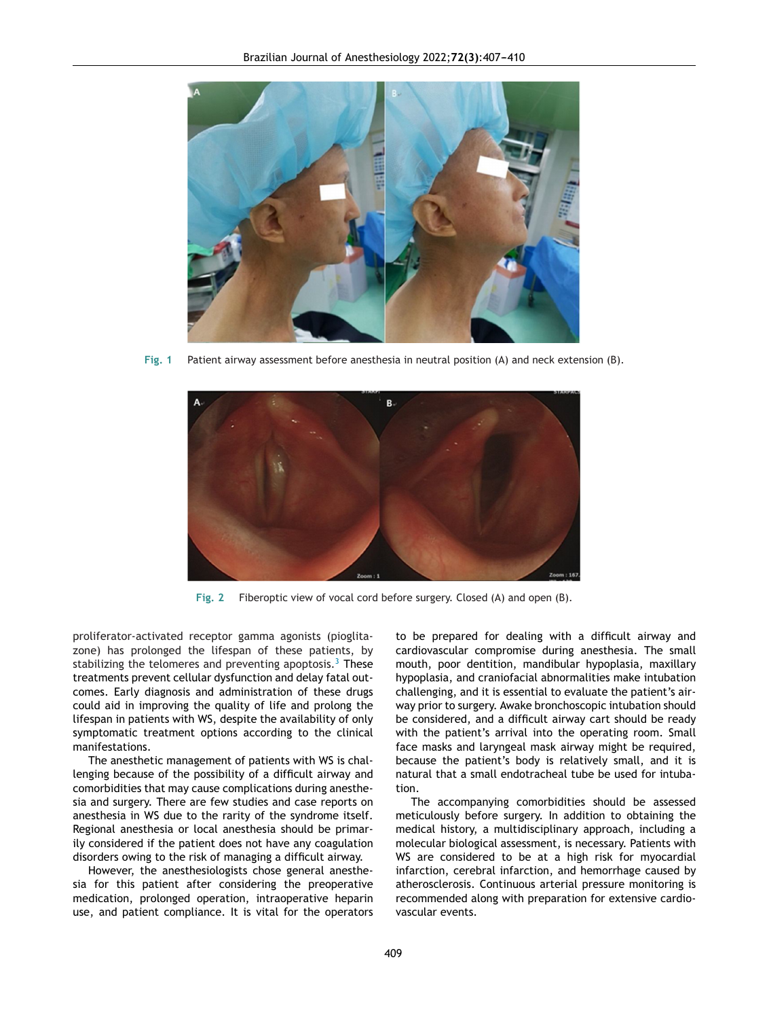<span id="page-2-0"></span>

**Fig. 1** Patient airway assessment before anesthesia in neutral position (A) and neck extension (B).



**Fig. 2** Fiberoptic view of vocal cord before surgery. Closed (A) and open (B).

proliferator-activated receptor gamma agonists (pioglitazone) has prolonged the lifespan of these patients, by stabilizing the telomeres and preventing apoptosis.<sup>[3](#page-3-0)</sup> These treatments prevent cellular dysfunction and delay fatal outcomes. Early diagnosis and administration of these drugs could aid in improving the quality of life and prolong the lifespan in patients with WS, despite the availability of only symptomatic treatment options according to the clinical manifestations.

The anesthetic management of patients with WS is challenging because of the possibility of a difficult airway and comorbidities that may cause complications during anesthesia and surgery. There are few studies and case reports on anesthesia in WS due to the rarity of the syndrome itself. Regional anesthesia or local anesthesia should be primarily considered if the patient does not have any coagulation disorders owing to the risk of managing a difficult airway.

However, the anesthesiologists chose general anesthesia for this patient after considering the preoperative medication, prolonged operation, intraoperative heparin use, and patient compliance. It is vital for the operators to be prepared for dealing with a difficult airway and cardiovascular compromise during anesthesia. The small mouth, poor dentition, mandibular hypoplasia, maxillary hypoplasia, and craniofacial abnormalities make intubation challenging, and it is essential to evaluate the patient's airway prior to surgery. Awake bronchoscopic intubation should be considered, and a difficult airway cart should be ready with the patient's arrival into the operating room. Small face masks and laryngeal mask airway might be required, because the patient's body is relatively small, and it is natural that a small endotracheal tube be used for intubation.

The accompanying comorbidities should be assessed meticulously before surgery. In addition to obtaining the medical history, a multidisciplinary approach, including a molecular biological assessment, is necessary. Patients with WS are considered to be at a high risk for myocardial infarction, cerebral infarction, and hemorrhage caused by atherosclerosis. Continuous arterial pressure monitoring is recommended along with preparation for extensive cardiovascular events.